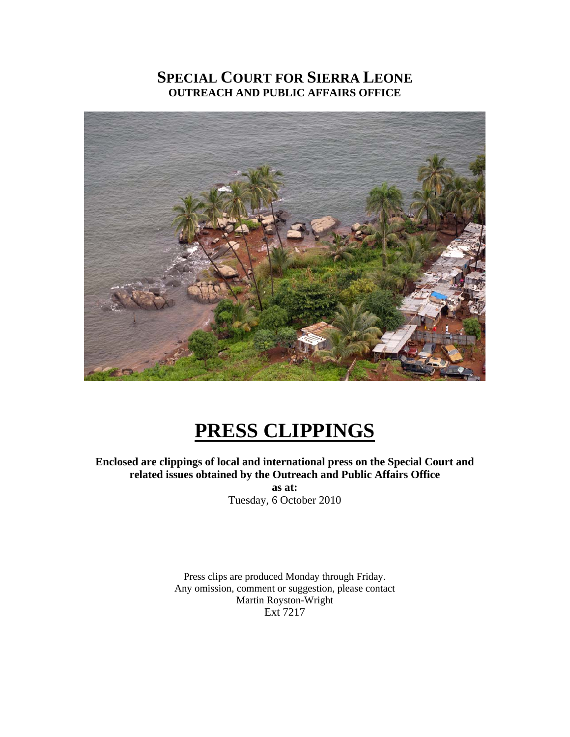## **SPECIAL COURT FOR SIERRA LEONE OUTREACH AND PUBLIC AFFAIRS OFFICE**



# **PRESS CLIPPINGS**

#### **Enclosed are clippings of local and international press on the Special Court and related issues obtained by the Outreach and Public Affairs Office**

**as at:**  Tuesday, 6 October 2010

Press clips are produced Monday through Friday. Any omission, comment or suggestion, please contact Martin Royston-Wright Ext 7217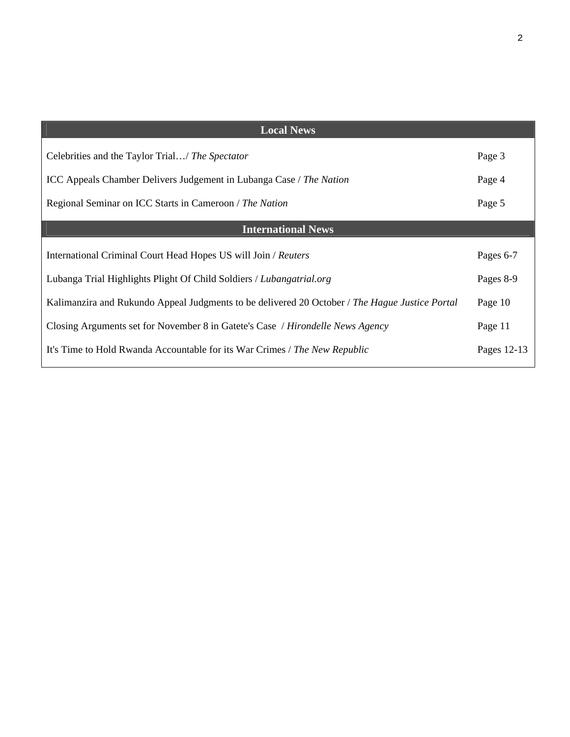| <b>Local News</b>                                                                              |             |
|------------------------------------------------------------------------------------------------|-------------|
| Celebrities and the Taylor Trial/ The Spectator                                                | Page 3      |
| <b>ICC</b> Appeals Chamber Delivers Judgement in Lubanga Case / The Nation                     | Page 4      |
| Regional Seminar on ICC Starts in Cameroon / The Nation                                        | Page 5      |
| <b>International News</b>                                                                      |             |
| International Criminal Court Head Hopes US will Join / Reuters                                 | Pages 6-7   |
| Lubanga Trial Highlights Plight Of Child Soldiers / Lubangatrial.org                           | Pages 8-9   |
| Kalimanzira and Rukundo Appeal Judgments to be delivered 20 October / The Hague Justice Portal | Page 10     |
| Closing Arguments set for November 8 in Gatete's Case / Hirondelle News Agency                 | Page 11     |
| It's Time to Hold Rwanda Accountable for its War Crimes / The New Republic                     | Pages 12-13 |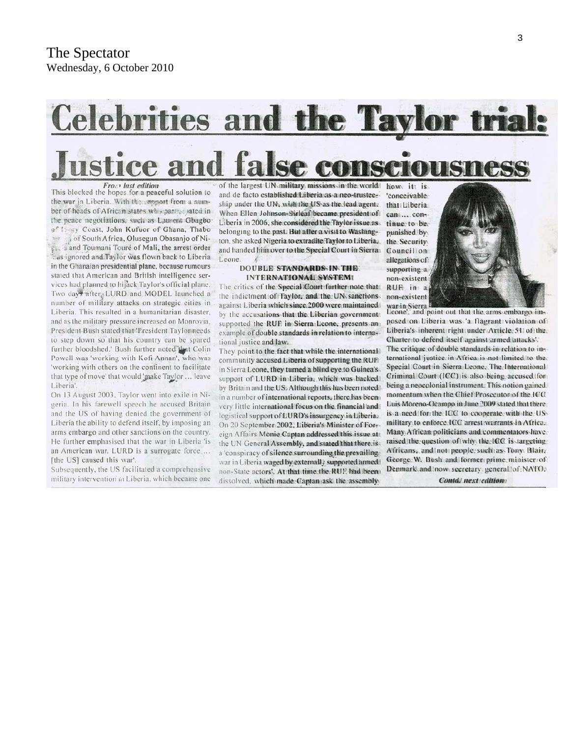# **Celebrities and the Taylor trial**

Fro.: last edition<br>This blocked the hopes for a peaceful solution to the war in Liberia. With the casport from a number of heads of African states while passed in the peace negotiations, such as Laurent Gbagbo of Issay Coast, John Kufuor of Ghana, Thabo of South Africa, Olusegun Obasanjo of Niga. a and Toumani Touré of Mali, the arrest order Las ignored and Taylor was flown back to Liberia in the Ghanaian presidential plane, because rumours stated that American and British intelligence services had planned to hijack Taylor's official plane. Two days after<sub>d</sub> LURD and MODEL launched a number of military attacks on strategic cities in Liberia. This resulted in a humanitarian disaster, and as the military pressure increased on Monrovia, President Bush stated that 'President Taylor needs to step down so that his country can be spared further bloodshed.' Bush further noted that Colin Powell was 'working with Kofi Annan', who was 'working with others on the continent to facilitate that type of move' that would 'make Taylor ... leave Liberia'

On 13 August 2003, Taylor went into exile in Nigeria. In his farewell speech he accused Britain and the US of having denied the government of Liberia the ability to defend itself, by imposing an arms embargo and other sanctions on the country. He further emphasised that the war in Liberia 'is an American war. LURD is a surrogate force.... [the US] caused this war'.

Subsequently, the US facilitated a comprehensive military intervention in Liberia, which became one of the largest UN military missions in the world and de facto established Liberia as a neo-trusteeship under the UN, wish the US as the lead agent. When Ellen Johnson-Sirleaf became president of Liberia in 2006, she considered the Taylor issue asbelonging to the past. But after a visit to Washington, she asked Nigeria to extradite Taylor to Liberia. and handed him over to the Special Court in Sierra. Leone

#### **DOUBLE STANDARDS IN THE INTERNATIONAL SYSTEM:**

The critics of the Special Court further note that: the indictment of Taylor, and the UN sanctions. against Liberia which since 2000 were maintained by the accusations that the Liberian government: supported the RUF in Sierra Leone, presents an example of double standards in relation to international justice and law.

They point to the fact that while the international community accused Liberia of supporting the RUF in Sierra Leone, they turned a blind eye to Guinea's support of LURD in Liberia, which was backed by Britain and the US. Although this has been noted in a number of international reports, there has been very little international focus on the financial and logistical support of LURD's insurgency in Liberia. On 20 September 2002, Liberia's Minister of Foreign Affairs Monie Captan addressed this issue at: the UN General Assembly, and stated that there isa 'conspiracy of silence surrounding the prevailing war in Liberia waged by externally supported armed: non-State actors'. At that time the RUF had been dissolved, which made Captan ask the assembly

how it is 'conceivable that Liberia can ... continue to be punished by the Security Council on allegations of supporting a non-existent RUE in a non-existent



posed on Liberia was 'a flagrant violation of Liberia's inherent right under Article 51 of the Charter to defend itself against armed attacks'. The critique of double standards in relation to international justice in Africa is not limited to the Special Court in Sierra Leone. The International Criminal Court (ICC) is also being accused for being a neocolonial instrument. This notion gained momentum when the Chief Prosecutor of the ICC Luis Moreno-Ocampo in June 2009 stated that there. is a need for the ICC to cooperate with the USmilitary to enforce ICC arrest warrants in Africa. Many African politicians and commentators have raised the question of why the ICC is targeting Africans, and inot people, such as Tony Blair. George: W. Bush and former prime minister of Denmark and now secretary general of NATO.

Contd. next edition: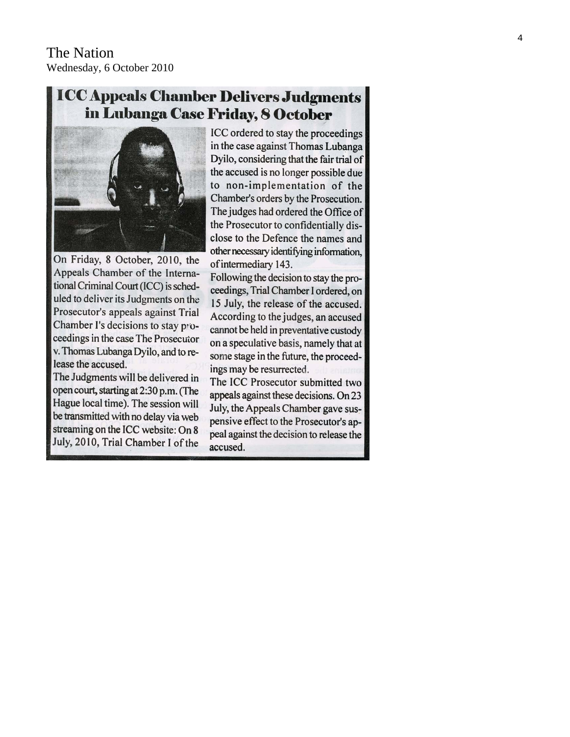The Nation Wednesday, 6 October 2010

# **ICC Appeals Chamber Delivers Judgments** in Lubanga Case Friday, 8 October



On Friday, 8 October, 2010, the Appeals Chamber of the International Criminal Court (ICC) is scheduled to deliver its Judgments on the Prosecutor's appeals against Trial Chamber I's decisions to stay proceedings in the case The Prosecutor v. Thomas Lubanga Dyilo, and to release the accused.

The Judgments will be delivered in open court, starting at 2:30 p.m. (The Hague local time). The session will be transmitted with no delay via web streaming on the ICC website: On 8 July, 2010, Trial Chamber I of the ICC ordered to stay the proceedings in the case against Thomas Lubanga Dyilo, considering that the fair trial of the accused is no longer possible due to non-implementation of the Chamber's orders by the Prosecution. The judges had ordered the Office of the Prosecutor to confidentially disclose to the Defence the names and other necessary identifying information, of intermediary 143.

Following the decision to stay the proceedings, Trial Chamber I ordered, on 15 July, the release of the accused. According to the judges, an accused cannot be held in preventative custody on a speculative basis, namely that at some stage in the future, the proceedings may be resurrected.

The ICC Prosecutor submitted two appeals against these decisions. On 23 July, the Appeals Chamber gave suspensive effect to the Prosecutor's appeal against the decision to release the accused.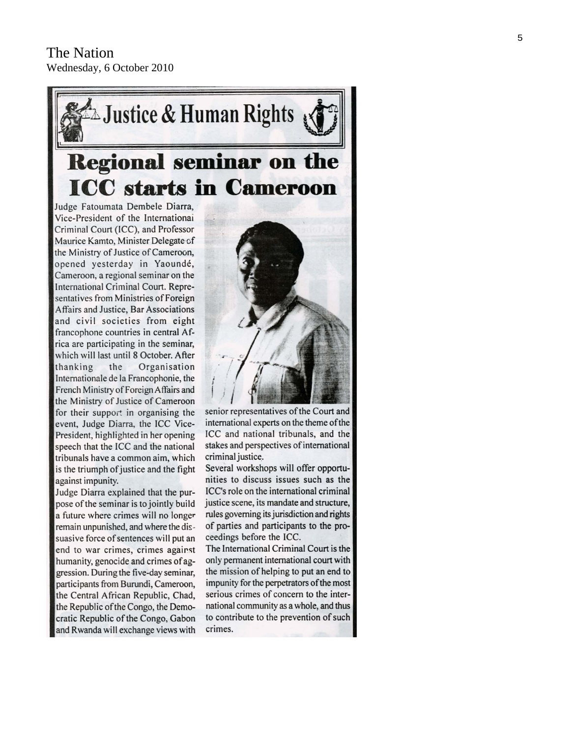#### The Nation Wednesday, 6 October 2010



Vice-President of the International Criminal Court (ICC), and Professor Maurice Kamto, Minister Delegate of the Ministry of Justice of Cameroon, opened yesterday in Yaoundé, Cameroon, a regional seminar on the International Criminal Court. Representatives from Ministries of Foreign Affairs and Justice, Bar Associations and civil societies from eight francophone countries in central Africa are participating in the seminar, which will last until 8 October, After thanking the Organisation Internationale de la Francophonie, the French Ministry of Foreign Affairs and the Ministry of Justice of Cameroon for their support in organising the event, Judge Diarra, the ICC Vice-President, highlighted in her opening speech that the ICC and the national tribunals have a common aim, which is the triumph of justice and the fight against impunity.

Judge Diarra explained that the purpose of the seminar is to jointly build a future where crimes will no longer remain unpunished, and where the dissuasive force of sentences will put an end to war crimes, crimes against humanity, genocide and crimes of aggression. During the five-day seminar, participants from Burundi, Cameroon, the Central African Republic, Chad, the Republic of the Congo, the Democratic Republic of the Congo, Gabon and Rwanda will exchange views with



senior representatives of the Court and international experts on the theme of the ICC and national tribunals, and the stakes and perspectives of international criminal justice.

Several workshops will offer opportunities to discuss issues such as the ICC's role on the international criminal justice scene, its mandate and structure, rules governing its jurisdiction and rights of parties and participants to the proceedings before the ICC.

The International Criminal Court is the only permanent international court with the mission of helping to put an end to impunity for the perpetrators of the most serious crimes of concern to the international community as a whole, and thus to contribute to the prevention of such crimes.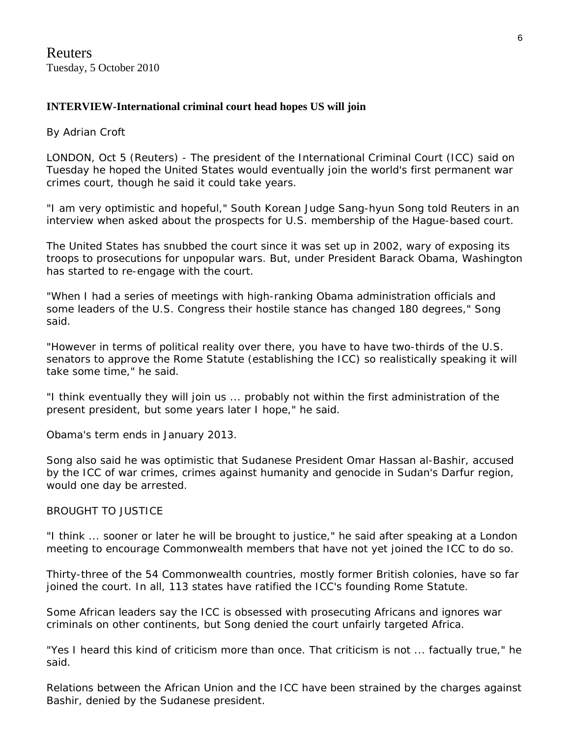Reuters Tuesday, 5 October 2010

#### **INTERVIEW-International criminal court head hopes US will join**

#### By Adrian Croft

LONDON, Oct 5 (Reuters) - The president of the International Criminal Court (ICC) said on Tuesday he hoped the United States would eventually join the world's first permanent war crimes court, though he said it could take years.

"I am very optimistic and hopeful," South Korean Judge Sang-hyun Song told Reuters in an interview when asked about the prospects for U.S. membership of the Hague-based court.

The United States has snubbed the court since it was set up in 2002, wary of exposing its troops to prosecutions for unpopular wars. But, under President Barack Obama, Washington has started to re-engage with the court.

"When I had a series of meetings with high-ranking Obama administration officials and some leaders of the U.S. Congress their hostile stance has changed 180 degrees," Song said.

"However in terms of political reality over there, you have to have two-thirds of the U.S. senators to approve the Rome Statute (establishing the ICC) so realistically speaking it will take some time," he said.

"I think eventually they will join us ... probably not within the first administration of the present president, but some years later I hope," he said.

Obama's term ends in January 2013.

Song also said he was optimistic that Sudanese President Omar Hassan al-Bashir, accused by the ICC of war crimes, crimes against humanity and genocide in Sudan's Darfur region, would one day be arrested.

#### BROUGHT TO JUSTICE

"I think ... sooner or later he will be brought to justice," he said after speaking at a London meeting to encourage Commonwealth members that have not yet joined the ICC to do so.

Thirty-three of the 54 Commonwealth countries, mostly former British colonies, have so far joined the court. In all, 113 states have ratified the ICC's founding Rome Statute.

Some African leaders say the ICC is obsessed with prosecuting Africans and ignores war criminals on other continents, but Song denied the court unfairly targeted Africa.

"Yes I heard this kind of criticism more than once. That criticism is not ... factually true," he said.

Relations between the African Union and the ICC have been strained by the charges against Bashir, denied by the Sudanese president.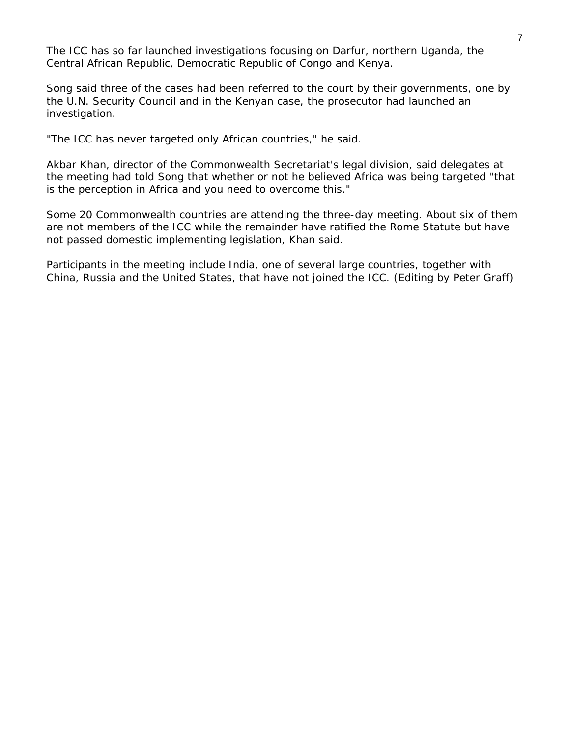The ICC has so far launched investigations focusing on Darfur, northern Uganda, the Central African Republic, Democratic Republic of Congo and Kenya.

Song said three of the cases had been referred to the court by their governments, one by the U.N. Security Council and in the Kenyan case, the prosecutor had launched an investigation.

"The ICC has never targeted only African countries," he said.

Akbar Khan, director of the Commonwealth Secretariat's legal division, said delegates at the meeting had told Song that whether or not he believed Africa was being targeted "that is the perception in Africa and you need to overcome this."

Some 20 Commonwealth countries are attending the three-day meeting. About six of them are not members of the ICC while the remainder have ratified the Rome Statute but have not passed domestic implementing legislation, Khan said.

Participants in the meeting include India, one of several large countries, together with China, Russia and the United States, that have not joined the ICC. (Editing by Peter Graff)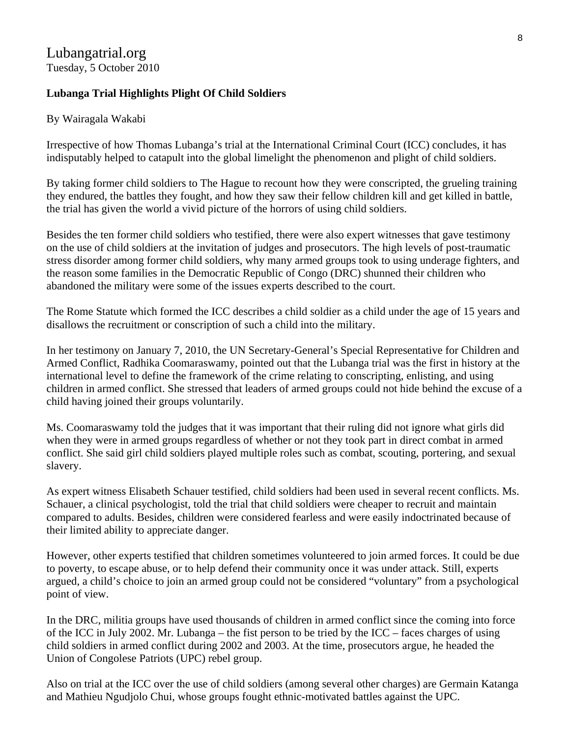#### **Lubanga Trial Highlights Plight Of Child Soldiers**

#### By Wairagala Wakabi

Irrespective of how Thomas Lubanga's trial at the International Criminal Court (ICC) concludes, it has indisputably helped to catapult into the global limelight the phenomenon and plight of child soldiers.

By taking former child soldiers to The Hague to recount how they were conscripted, the grueling training they endured, the battles they fought, and how they saw their fellow children kill and get killed in battle, the trial has given the world a vivid picture of the horrors of using child soldiers.

Besides the ten former child soldiers who testified, there were also expert witnesses that gave testimony on the use of child soldiers at the invitation of judges and prosecutors. The high levels of post-traumatic stress disorder among former child soldiers, why many armed groups took to using underage fighters, and the reason some families in the Democratic Republic of Congo (DRC) shunned their children who abandoned the military were some of the issues experts described to the court.

The Rome Statute which formed the ICC describes a child soldier as a child under the age of 15 years and disallows the recruitment or conscription of such a child into the military.

In her testimony on January 7, 2010, the UN Secretary-General's Special Representative for Children and Armed Conflict, Radhika Coomaraswamy, pointed out that the Lubanga trial was the first in history at the international level to define the framework of the crime relating to conscripting, enlisting, and using children in armed conflict. She stressed that leaders of armed groups could not hide behind the excuse of a child having joined their groups voluntarily.

Ms. Coomaraswamy told the judges that it was important that their ruling did not ignore what girls did when they were in armed groups regardless of whether or not they took part in direct combat in armed conflict. She said girl child soldiers played multiple roles such as combat, scouting, portering, and sexual slavery.

As expert witness Elisabeth Schauer testified, child soldiers had been used in several recent conflicts. Ms. Schauer, a clinical psychologist, told the trial that child soldiers were cheaper to recruit and maintain compared to adults. Besides, children were considered fearless and were easily indoctrinated because of their limited ability to appreciate danger.

However, other experts testified that children sometimes volunteered to join armed forces. It could be due to poverty, to escape abuse, or to help defend their community once it was under attack. Still, experts argued, a child's choice to join an armed group could not be considered "voluntary" from a psychological point of view.

In the DRC, militia groups have used thousands of children in armed conflict since the coming into force of the ICC in July 2002. Mr. Lubanga – the fist person to be tried by the ICC – faces charges of using child soldiers in armed conflict during 2002 and 2003. At the time, prosecutors argue, he headed the Union of Congolese Patriots (UPC) rebel group.

Also on trial at the ICC over the use of child soldiers (among several other charges) are Germain Katanga and Mathieu Ngudjolo Chui, whose groups fought ethnic-motivated battles against the UPC.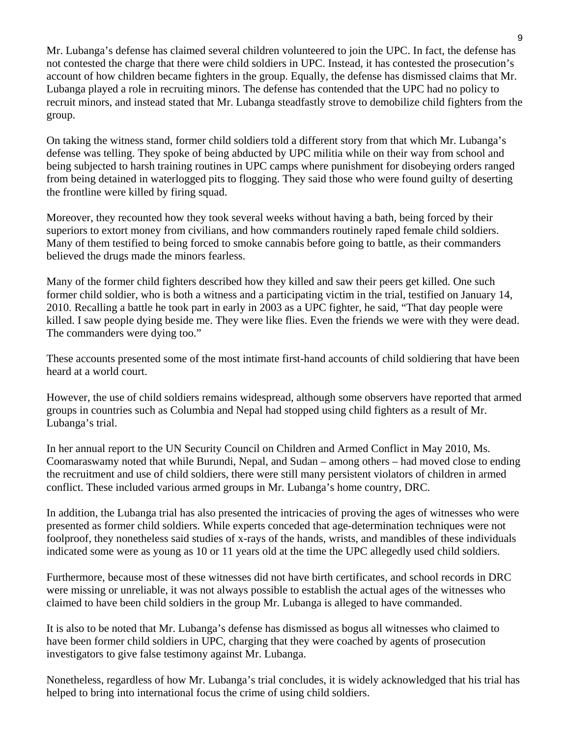Mr. Lubanga's defense has claimed several children volunteered to join the UPC. In fact, the defense has not contested the charge that there were child soldiers in UPC. Instead, it has contested the prosecution's account of how children became fighters in the group. Equally, the defense has dismissed claims that Mr. Lubanga played a role in recruiting minors. The defense has contended that the UPC had no policy to recruit minors, and instead stated that Mr. Lubanga steadfastly strove to demobilize child fighters from the group.

On taking the witness stand, former child soldiers told a different story from that which Mr. Lubanga's defense was telling. They spoke of being abducted by UPC militia while on their way from school and being subjected to harsh training routines in UPC camps where punishment for disobeying orders ranged from being detained in waterlogged pits to flogging. They said those who were found guilty of deserting the frontline were killed by firing squad.

Moreover, they recounted how they took several weeks without having a bath, being forced by their superiors to extort money from civilians, and how commanders routinely raped female child soldiers. Many of them testified to being forced to smoke cannabis before going to battle, as their commanders believed the drugs made the minors fearless.

Many of the former child fighters described how they killed and saw their peers get killed. One such former child soldier, who is both a witness and a participating victim in the trial, testified on January 14, 2010. Recalling a battle he took part in early in 2003 as a UPC fighter, he said, "That day people were killed. I saw people dying beside me. They were like flies. Even the friends we were with they were dead. The commanders were dying too."

These accounts presented some of the most intimate first-hand accounts of child soldiering that have been heard at a world court.

However, the use of child soldiers remains widespread, although some observers have reported that armed groups in countries such as Columbia and Nepal had stopped using child fighters as a result of Mr. Lubanga's trial.

In her annual report to the UN Security Council on Children and Armed Conflict in May 2010, Ms. Coomaraswamy noted that while Burundi, Nepal, and Sudan – among others – had moved close to ending the recruitment and use of child soldiers, there were still many persistent violators of children in armed conflict. These included various armed groups in Mr. Lubanga's home country, DRC.

In addition, the Lubanga trial has also presented the intricacies of proving the ages of witnesses who were presented as former child soldiers. While experts conceded that age-determination techniques were not foolproof, they nonetheless said studies of x-rays of the hands, wrists, and mandibles of these individuals indicated some were as young as 10 or 11 years old at the time the UPC allegedly used child soldiers.

Furthermore, because most of these witnesses did not have birth certificates, and school records in DRC were missing or unreliable, it was not always possible to establish the actual ages of the witnesses who claimed to have been child soldiers in the group Mr. Lubanga is alleged to have commanded.

It is also to be noted that Mr. Lubanga's defense has dismissed as bogus all witnesses who claimed to have been former child soldiers in UPC, charging that they were coached by agents of prosecution investigators to give false testimony against Mr. Lubanga.

Nonetheless, regardless of how Mr. Lubanga's trial concludes, it is widely acknowledged that his trial has helped to bring into international focus the crime of using child soldiers.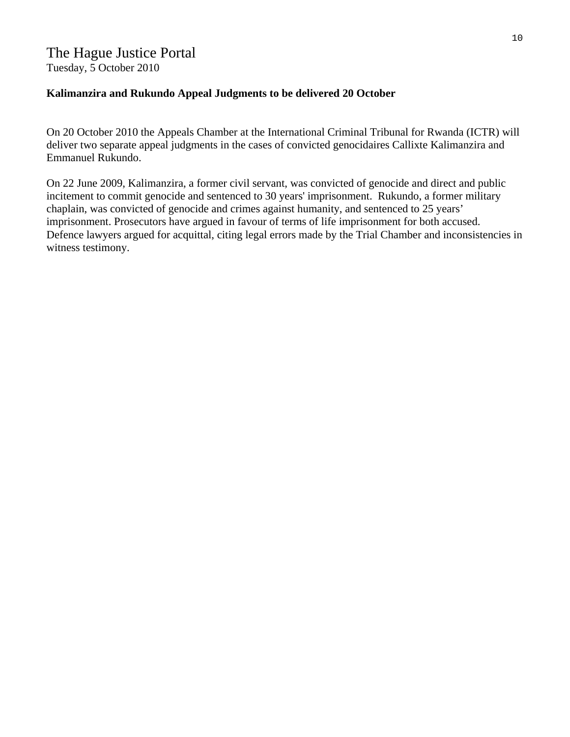# The Hague Justice Portal

Tuesday, 5 October 2010

#### **Kalimanzira and Rukundo Appeal Judgments to be delivered 20 October**

On 20 October 2010 the Appeals Chamber at the International Criminal Tribunal for Rwanda (ICTR) will deliver two separate appeal judgments in the cases of convicted genocidaires Callixte Kalimanzira and Emmanuel Rukundo.

On 22 June 2009, Kalimanzira, a former civil servant, was convicted of genocide and direct and public incitement to commit genocide and sentenced to 30 years' imprisonment. Rukundo, a former military chaplain, was convicted of genocide and crimes against humanity, and sentenced to 25 years' imprisonment. Prosecutors have argued in favour of terms of life imprisonment for both accused. Defence lawyers argued for acquittal, citing legal errors made by the Trial Chamber and inconsistencies in witness testimony.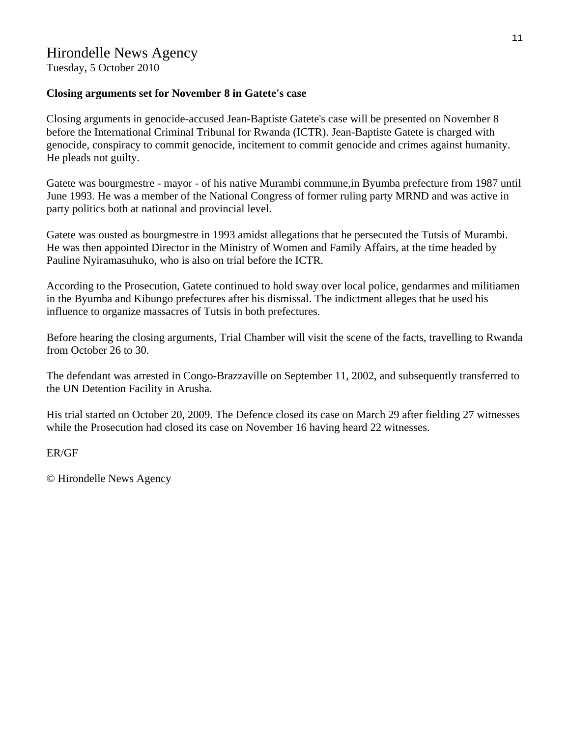Tuesday, 5 October 2010

#### **Closing arguments set for November 8 in Gatete's case**

Closing arguments in genocide-accused Jean-Baptiste Gatete's case will be presented on November 8 before the International Criminal Tribunal for Rwanda (ICTR). Jean-Baptiste Gatete is charged with genocide, conspiracy to commit genocide, incitement to commit genocide and crimes against humanity. He pleads not guilty.

Gatete was bourgmestre - mayor - of his native Murambi commune,in Byumba prefecture from 1987 until June 1993. He was a member of the National Congress of former ruling party MRND and was active in party politics both at national and provincial level.

Gatete was ousted as bourgmestre in 1993 amidst allegations that he persecuted the Tutsis of Murambi. He was then appointed Director in the Ministry of Women and Family Affairs, at the time headed by Pauline Nyiramasuhuko, who is also on trial before the ICTR.

According to the Prosecution, Gatete continued to hold sway over local police, gendarmes and militiamen in the Byumba and Kibungo prefectures after his dismissal. The indictment alleges that he used his influence to organize massacres of Tutsis in both prefectures.

Before hearing the closing arguments, Trial Chamber will visit the scene of the facts, travelling to Rwanda from October 26 to 30.

The defendant was arrested in Congo-Brazzaville on September 11, 2002, and subsequently transferred to the UN Detention Facility in Arusha.

His trial started on October 20, 2009. The Defence closed its case on March 29 after fielding 27 witnesses while the Prosecution had closed its case on November 16 having heard 22 witnesses.

#### ER/GF

© Hirondelle News Agency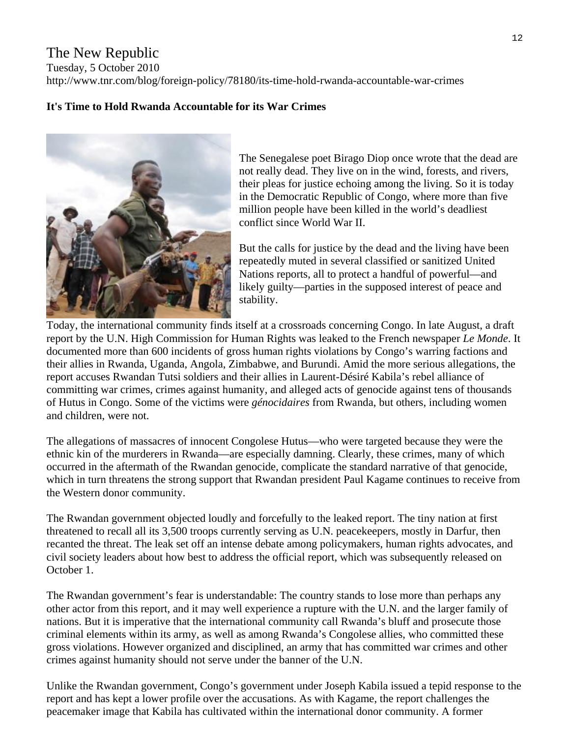### The New Republic

Tuesday, 5 October 2010

http://www.tnr.com/blog/foreign-policy/78180/its-time-hold-rwanda-accountable-war-crimes

#### **It's Time to Hold Rwanda Accountable for its War Crimes**



The Senegalese poet Birago Diop once wrote that the dead are not really dead. They live on in the wind, forests, and rivers, their pleas for justice echoing among the living. So it is today in the Democratic Republic of Congo, where more than five million people have been killed in the world's deadliest conflict since World War II.

But the calls for justice by the dead and the living have been repeatedly muted in several classified or sanitized United Nations reports, all to protect a handful of powerful—and likely guilty—parties in the supposed interest of peace and stability.

Today, the international community finds i tself at a crossroads concerning Congo. In late August, a draft their allies in Rwanda, Uganda, Angola, Zimbabwe, and Burundi. Amid the more serious allegations, the report by the U.N. High Commission for Human Rights was leaked to the French newspaper *Le Monde*. It documented more than 600 incidents of gross human rights violations by Congo's warring factions and report accuses Rwandan Tutsi soldiers and their allies in Laurent-Désiré Kabila's rebel alliance of committing war crimes, crimes against humanity, and alleged acts of genocide against tens of thousands of Hutus in Congo. Some of the victims were *génocidaires* from Rwanda, but others, including women and children, were not.

The allegations of massacres of innocent Congolese Hutus—who were targeted because they were the ethnic kin of the murderers in Rwanda—are especially damning. Clearly, these crimes, many of which occurred in the aftermath of the Rwandan genocide, complicate the standard narrative of that genocide, which in turn threatens the strong support that Rwandan president Paul Kagame continues to receive from the Western donor community.

The Rwandan government objected loudly and forcefully to the leaked report. The tiny nation at first threatened to recall all its 3,500 troops currently serving as U.N. peacekeepers, mostly in Darfur, then recanted the threat. The leak set off an intense debate among policymakers, human rights advocates, and civil society leaders about how best to address the official report, which was subsequently released on October 1.

The Rwandan government's fear is understandable: The country stands to lose more than perhaps any other actor from this report, and it may well experience a rupture with the U.N. and the larger family of nations. But it is imperative that the international community call Rwanda's bluff and prosecute those criminal elements within its army, as well as among Rwanda's Congolese allies, who committed these gross violations. However organized and disciplined, an army that has committed war crimes and other crimes against humanity should not serve under the banner of the U.N.

Unlike the Rwandan government, Congo's government under Joseph Kabila issued a tepid response to the report and has kept a lower profile over the accusations. As with Kagame, the report challenges the peacemaker image that Kabila has cultivated within the international donor community. A former